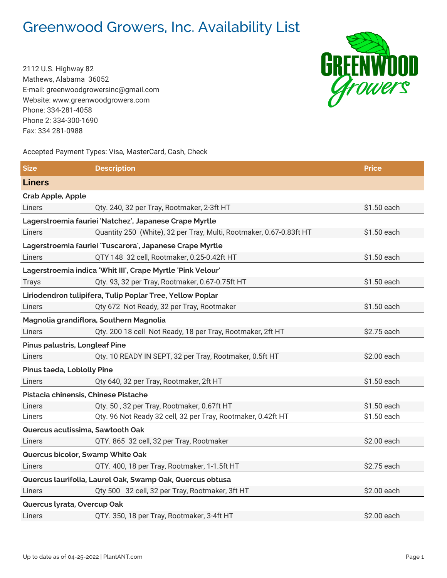## Greenwood Growers, Inc. Availability List

2112 U.S. Highway 82 Mathews, Alabama 36052 E-mail: greenwoodgrowersinc@gmail.com Website: www.greenwoodgrowers.com Phone: 334-281-4058 Phone 2: 334-300-1690 Fax: 334 281-0988

## Accepted Payment Types: Visa, MasterCard, Cash, Check

**Size Description Price Liners Crab Apple, Apple** Liners Qty. 240, 32 per Tray, Rootmaker, 2-3ft HT \$1.50 each **Lagerstroemia fauriei 'Natchez', Japanese Crape Myrtle** Liners **Canacisty 250 (White), 32 per Tray, Multi, Rootmaker, 0.67-0.83ft HT** \$1.50 each **Lagerstroemia fauriei 'Tuscarora', Japanese Crape Myrtle** Liners QTY 148 32 cell, Rootmaker, 0.25-0.42ft HT \$1.50 each **Lagerstroemia indica 'Whit III', Crape Myrtle 'Pink Velour'** Trays Case Compared Compared Compared Compared Compared Compared Compared Compared Compared Compared Compared Compared Compared Compared Compared Compared Compared Compared Compared Compared Compared Compared Compared Comp **Liriodendron tulipifera, Tulip Poplar Tree, Yellow Poplar** Liners **Calculation City 672 Not Ready, 32 per Tray, Rootmaker 61.50 each** \$1.50 each **Magnolia grandiflora, Southern Magnolia** Liners Qty. 200 18 cell Not Ready, 18 per Tray, Rootmaker, 2ft HT \$2.75 each **Pinus palustris, Longleaf Pine** Liners **Calculation City. 10 READY IN SEPT, 32 per Tray, Rootmaker, 0.5ft HT** \$2.00 each **Pinus taeda, Loblolly Pine** Liners 640, 32 per Tray, Rootmaker, 2ft HT \$1.50 each \$1.50 each **Pistacia chinensis, Chinese Pistache** Liners Qty. 50 , 32 per Tray, Rootmaker, 0.67ft HT \$1.50 each Liners Qty. 96 Not Ready 32 cell, 32 per Tray, Rootmaker, 0.42ft HT \$1.50 each **Quercus acutissima, Sawtooth Oak** Liners QTY. 865 32 cell, 32 per Tray, Rootmaker \$2.00 each **Quercus bicolor, Swamp White Oak** Liners GTY. 400, 18 per Tray, Rootmaker, 1-1.5ft HT \$2.75 each **Quercus laurifolia, Laurel Oak, Swamp Oak, Quercus obtusa** Liners Qty 500 32 cell, 32 per Tray, Rootmaker, 3ft HT \$2.00 each **Quercus lyrata, Overcup Oak**

Liners QTY. 350, 18 per Tray, Rootmaker, 3-4ft HT \$2.00 each

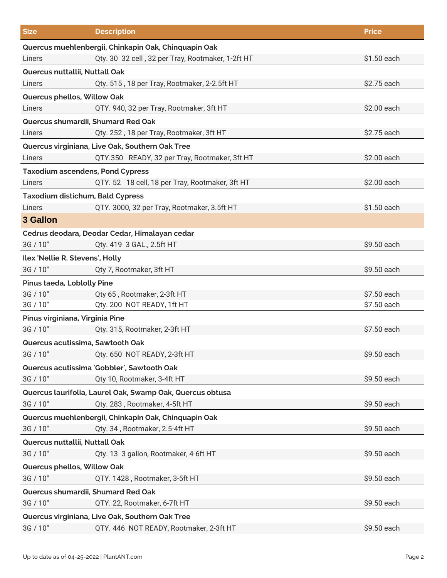| <b>Size</b>                                          | <b>Description</b>                                        | <b>Price</b> |  |  |
|------------------------------------------------------|-----------------------------------------------------------|--------------|--|--|
| Quercus muehlenbergii, Chinkapin Oak, Chinquapin Oak |                                                           |              |  |  |
| Liners                                               | Qty. 30 32 cell, 32 per Tray, Rootmaker, 1-2ft HT         | \$1.50 each  |  |  |
| Quercus nuttallii, Nuttall Oak                       |                                                           |              |  |  |
| Liners                                               | Qty. 515, 18 per Tray, Rootmaker, 2-2.5ft HT              | \$2.75 each  |  |  |
| Quercus phellos, Willow Oak                          |                                                           |              |  |  |
| Liners                                               | QTY. 940, 32 per Tray, Rootmaker, 3ft HT                  | \$2.00 each  |  |  |
| Quercus shumardii, Shumard Red Oak                   |                                                           |              |  |  |
| Liners                                               | Qty. 252, 18 per Tray, Rootmaker, 3ft HT                  | \$2.75 each  |  |  |
|                                                      | Quercus virginiana, Live Oak, Southern Oak Tree           |              |  |  |
| Liners                                               | QTY.350 READY, 32 per Tray, Rootmaker, 3ft HT             | \$2.00 each  |  |  |
| <b>Taxodium ascendens, Pond Cypress</b>              |                                                           |              |  |  |
| Liners                                               | QTY. 52 18 cell, 18 per Tray, Rootmaker, 3ft HT           | \$2.00 each  |  |  |
| <b>Taxodium distichum, Bald Cypress</b>              |                                                           |              |  |  |
| Liners                                               | QTY. 3000, 32 per Tray, Rootmaker, 3.5ft HT               | \$1.50 each  |  |  |
| 3 Gallon                                             |                                                           |              |  |  |
|                                                      | Cedrus deodara, Deodar Cedar, Himalayan cedar             |              |  |  |
| 3G / 10"                                             | Qty. 419 3 GAL., 2.5ft HT                                 | \$9.50 each  |  |  |
| Ilex 'Nellie R. Stevens', Holly                      |                                                           |              |  |  |
| 3G / 10"                                             | Qty 7, Rootmaker, 3ft HT                                  | \$9.50 each  |  |  |
| <b>Pinus taeda, Loblolly Pine</b>                    |                                                           |              |  |  |
| 3G / 10"                                             | Qty 65, Rootmaker, 2-3ft HT                               | \$7.50 each  |  |  |
| 3G / 10"                                             | Qty. 200 NOT READY, 1ft HT                                | \$7.50 each  |  |  |
| Pinus virginiana, Virginia Pine                      |                                                           |              |  |  |
| 3G / 10"                                             | Qty. 315, Rootmaker, 2-3ft HT                             | \$7.50 each  |  |  |
| Quercus acutissima, Sawtooth Oak                     |                                                           |              |  |  |
| 3G / 10"                                             | Qty. 650 NOT READY, 2-3ft HT                              | \$9.50 each  |  |  |
|                                                      | Quercus acutissima 'Gobbler', Sawtooth Oak                |              |  |  |
| 3G / 10"                                             | Qty 10, Rootmaker, 3-4ft HT                               | \$9.50 each  |  |  |
|                                                      | Quercus laurifolia, Laurel Oak, Swamp Oak, Quercus obtusa |              |  |  |
| 3G / 10"                                             | Qty. 283, Rootmaker, 4-5ft HT                             | \$9.50 each  |  |  |
|                                                      | Quercus muehlenbergii, Chinkapin Oak, Chinquapin Oak      |              |  |  |
| 3G / 10"                                             | Qty. 34, Rootmaker, 2.5-4ft HT                            | \$9.50 each  |  |  |
| Quercus nuttallii, Nuttall Oak                       |                                                           |              |  |  |
| 3G / 10"                                             | Qty. 13 3 gallon, Rootmaker, 4-6ft HT                     | \$9.50 each  |  |  |
| Quercus phellos, Willow Oak                          |                                                           |              |  |  |
| 3G / 10"                                             | QTY. 1428, Rootmaker, 3-5ft HT                            | \$9.50 each  |  |  |
| Quercus shumardii, Shumard Red Oak                   |                                                           |              |  |  |
| 3G / 10"                                             | QTY. 22, Rootmaker, 6-7ft HT                              | \$9.50 each  |  |  |
| Quercus virginiana, Live Oak, Southern Oak Tree      |                                                           |              |  |  |
| 3G / 10"                                             | QTY. 446 NOT READY, Rootmaker, 2-3ft HT                   | \$9.50 each  |  |  |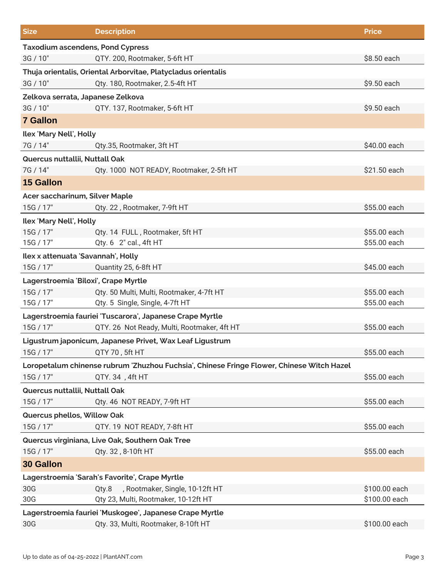| <b>Size</b>                                                   | <b>Description</b>                                                                        | <b>Price</b>  |  |  |
|---------------------------------------------------------------|-------------------------------------------------------------------------------------------|---------------|--|--|
| <b>Taxodium ascendens, Pond Cypress</b>                       |                                                                                           |               |  |  |
| 3G / 10"                                                      | QTY. 200, Rootmaker, 5-6ft HT                                                             | \$8.50 each   |  |  |
| Thuja orientalis, Oriental Arborvitae, Platycladus orientalis |                                                                                           |               |  |  |
| 3G / 10"                                                      | Qty. 180, Rootmaker, 2.5-4ft HT                                                           | \$9.50 each   |  |  |
| Zelkova serrata, Japanese Zelkova                             |                                                                                           |               |  |  |
| 3G / 10"                                                      | QTY. 137, Rootmaker, 5-6ft HT                                                             | \$9.50 each   |  |  |
| <b>7 Gallon</b>                                               |                                                                                           |               |  |  |
| Ilex 'Mary Nell', Holly                                       |                                                                                           |               |  |  |
| 7G / 14"                                                      | Qty.35, Rootmaker, 3ft HT                                                                 | \$40.00 each  |  |  |
| Quercus nuttallii, Nuttall Oak                                |                                                                                           |               |  |  |
| 7G / 14"                                                      | Qty. 1000 NOT READY, Rootmaker, 2-5ft HT                                                  | \$21.50 each  |  |  |
| <b>15 Gallon</b>                                              |                                                                                           |               |  |  |
| Acer saccharinum, Silver Maple                                |                                                                                           |               |  |  |
| 15G / 17"                                                     | Qty. 22, Rootmaker, 7-9ft HT                                                              | \$55.00 each  |  |  |
| Ilex 'Mary Nell', Holly                                       |                                                                                           |               |  |  |
| 15G / 17"                                                     | Qty. 14 FULL, Rootmaker, 5ft HT                                                           | \$55.00 each  |  |  |
| 15G / 17"                                                     | Qty. 6 2" cal., 4ft HT                                                                    | \$55.00 each  |  |  |
| Ilex x attenuata 'Savannah', Holly                            |                                                                                           |               |  |  |
| 15G / 17"                                                     | Quantity 25, 6-8ft HT                                                                     | \$45.00 each  |  |  |
| Lagerstroemia 'Biloxi', Crape Myrtle                          |                                                                                           |               |  |  |
| 15G / 17"                                                     | Qty. 50 Multi, Multi, Rootmaker, 4-7ft HT                                                 | \$55.00 each  |  |  |
| 15G / 17"                                                     | Qty. 5 Single, Single, 4-7ft HT                                                           | \$55.00 each  |  |  |
|                                                               | Lagerstroemia fauriei 'Tuscarora', Japanese Crape Myrtle                                  |               |  |  |
| 15G / 17"                                                     | QTY. 26 Not Ready, Multi, Rootmaker, 4ft HT                                               | \$55.00 each  |  |  |
|                                                               | Ligustrum japonicum, Japanese Privet, Wax Leaf Ligustrum                                  |               |  |  |
| 15G / 17" QTY 70, 5ft HT                                      |                                                                                           | \$55.00 each  |  |  |
|                                                               | Loropetalum chinense rubrum 'Zhuzhou Fuchsia', Chinese Fringe Flower, Chinese Witch Hazel |               |  |  |
| 15G / 17"                                                     | QTY. 34, 4ft HT                                                                           | \$55.00 each  |  |  |
| Quercus nuttallii, Nuttall Oak                                |                                                                                           |               |  |  |
| 15G / 17"                                                     | Qty. 46 NOT READY, 7-9ft HT                                                               | \$55.00 each  |  |  |
| Quercus phellos, Willow Oak                                   |                                                                                           |               |  |  |
| 15G / 17"                                                     | QTY. 19 NOT READY, 7-8ft HT                                                               | \$55.00 each  |  |  |
| Quercus virginiana, Live Oak, Southern Oak Tree               |                                                                                           |               |  |  |
| 15G / 17"                                                     | Qty. 32, 8-10ft HT                                                                        | \$55.00 each  |  |  |
| <b>30 Gallon</b>                                              |                                                                                           |               |  |  |
|                                                               | Lagerstroemia 'Sarah's Favorite', Crape Myrtle                                            |               |  |  |
| 30G                                                           | , Rootmaker, Single, 10-12ft HT<br>Qty.8                                                  | \$100.00 each |  |  |
| 30G                                                           | Qty 23, Multi, Rootmaker, 10-12ft HT                                                      | \$100.00 each |  |  |
|                                                               | Lagerstroemia fauriei 'Muskogee', Japanese Crape Myrtle                                   |               |  |  |
| 30G                                                           | Qty. 33, Multi, Rootmaker, 8-10ft HT                                                      | \$100.00 each |  |  |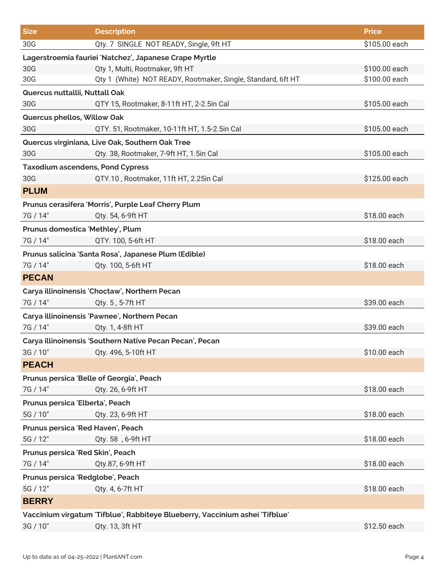| <b>Size</b>                                                                  | <b>Description</b>                                           | <b>Price</b>  |  |  |
|------------------------------------------------------------------------------|--------------------------------------------------------------|---------------|--|--|
| 30G                                                                          | Qty. 7 SINGLE NOT READY, Single, 9ft HT                      | \$105.00 each |  |  |
|                                                                              | Lagerstroemia fauriei 'Natchez', Japanese Crape Myrtle       |               |  |  |
| 30G                                                                          | Qty 1, Multi, Rootmaker, 9ft HT                              | \$100.00 each |  |  |
| 30G                                                                          | Qty 1 (White) NOT READY, Rootmaker, Single, Standard, 6ft HT | \$100.00 each |  |  |
| Quercus nuttallii, Nuttall Oak                                               |                                                              |               |  |  |
| 30G                                                                          | QTY 15, Rootmaker, 8-11ft HT, 2-2.5in Cal                    | \$105.00 each |  |  |
| Quercus phellos, Willow Oak                                                  |                                                              |               |  |  |
| 30G                                                                          | QTY. 51, Rootmaker, 10-11ft HT, 1.5-2.5in Cal                | \$105.00 each |  |  |
|                                                                              | Quercus virginiana, Live Oak, Southern Oak Tree              |               |  |  |
| 30G                                                                          | Qty. 38, Rootmaker, 7-9ft HT, 1.5in Cal                      | \$105.00 each |  |  |
| <b>Taxodium ascendens, Pond Cypress</b>                                      |                                                              |               |  |  |
| 30G                                                                          | QTY.10, Rootmaker, 11ft HT, 2.25in Cal                       | \$125.00 each |  |  |
| <b>PLUM</b>                                                                  |                                                              |               |  |  |
|                                                                              | Prunus cerasifera 'Morris', Purple Leaf Cherry Plum          |               |  |  |
| 7G / 14"                                                                     | Qty. 54, 6-9ft HT                                            | \$18.00 each  |  |  |
| Prunus domestica 'Methley', Plum                                             |                                                              |               |  |  |
| 7G / 14"                                                                     | QTY. 100, 5-6ft HT                                           | \$18.00 each  |  |  |
|                                                                              | Prunus salicina 'Santa Rosa', Japanese Plum (Edible)         |               |  |  |
| 7G / 14"                                                                     | Qty. 100, 5-6ft HT                                           | \$18.00 each  |  |  |
| <b>PECAN</b>                                                                 |                                                              |               |  |  |
|                                                                              | Carya illinoinensis 'Choctaw', Northern Pecan                |               |  |  |
| 7G / 14"                                                                     | Qty. 5, 5-7ft HT                                             | \$39.00 each  |  |  |
|                                                                              | Carya illinoinensis 'Pawnee', Northern Pecan                 |               |  |  |
| 7G / 14"                                                                     | Qty. 1, 4-8ft HT                                             | \$39.00 each  |  |  |
|                                                                              | Carya illinoinensis 'Southern Native Pecan Pecan', Pecan     |               |  |  |
| 3G / 10"                                                                     | Qty. 496, 5-10ft HT                                          | \$10.00 each  |  |  |
| <b>PEACH</b>                                                                 |                                                              |               |  |  |
| Prunus persica 'Belle of Georgia', Peach                                     |                                                              |               |  |  |
| 7G / 14"                                                                     | Qty. 26, 6-9ft HT                                            | \$18.00 each  |  |  |
| Prunus persica 'Elberta', Peach                                              |                                                              |               |  |  |
| 5G / 10"                                                                     | Qty. 23, 6-9ft HT                                            | \$18.00 each  |  |  |
| Prunus persica 'Red Haven', Peach                                            |                                                              |               |  |  |
| 5G / 12"                                                                     | Qty. 58, 6-9ft HT                                            | \$18.00 each  |  |  |
| Prunus persica 'Red Skin', Peach                                             |                                                              |               |  |  |
| 7G / 14"                                                                     | Qty.87, 6-9ft HT                                             | \$18.00 each  |  |  |
| Prunus persica 'Redglobe', Peach                                             |                                                              |               |  |  |
| 5G / 12"                                                                     | Qty. 4, 6-7ft HT                                             | \$18.00 each  |  |  |
| <b>BERRY</b>                                                                 |                                                              |               |  |  |
| Vaccinium virgatum 'Tifblue', Rabbiteye Blueberry, Vaccinium ashei 'Tifblue' |                                                              |               |  |  |
| 3G / 10"                                                                     | Qty. 13, 3ft HT                                              | \$12.50 each  |  |  |